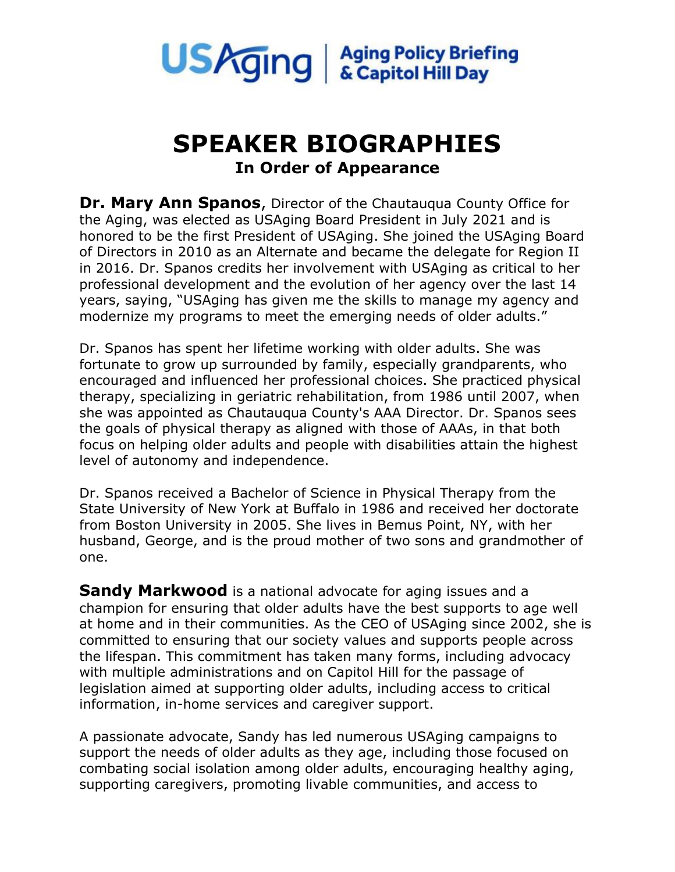

## **SPEAKER BIOGRAPHIES In Order of Appearance**

**Dr. Mary Ann Spanos**, Director of the Chautauqua County Office for the Aging, was elected as USAging Board President in July 2021 and is honored to be the first President of USAging. She joined the USAging Board of Directors in 2010 as an Alternate and became the delegate for Region II in 2016. Dr. Spanos credits her involvement with USAging as critical to her professional development and the evolution of her agency over the last 14 years, saying, "USAging has given me the skills to manage my agency and modernize my programs to meet the emerging needs of older adults."

Dr. Spanos has spent her lifetime working with older adults. She was fortunate to grow up surrounded by family, especially grandparents, who encouraged and influenced her professional choices. She practiced physical therapy, specializing in geriatric rehabilitation, from 1986 until 2007, when she was appointed as Chautauqua County's AAA Director. Dr. Spanos sees the goals of physical therapy as aligned with those of AAAs, in that both focus on helping older adults and people with disabilities attain the highest level of autonomy and independence.

Dr. Spanos received a Bachelor of Science in Physical Therapy from the State University of New York at Buffalo in 1986 and received her doctorate from Boston University in 2005. She lives in Bemus Point, NY, with her husband, George, and is the proud mother of two sons and grandmother of one.

**Sandy Markwood** is a national advocate for aging issues and a champion for ensuring that older adults have the best supports to age well at home and in their communities. As the CEO of USAging since 2002, she is committed to ensuring that our society values and supports people across the lifespan. This commitment has taken many forms, including advocacy with multiple administrations and on Capitol Hill for the passage of legislation aimed at supporting older adults, including access to critical information, in-home services and caregiver support.

A passionate advocate, Sandy has led numerous USAging campaigns to support the needs of older adults as they age, including those focused on combating social isolation among older adults, encouraging healthy aging, supporting caregivers, promoting livable communities, and access to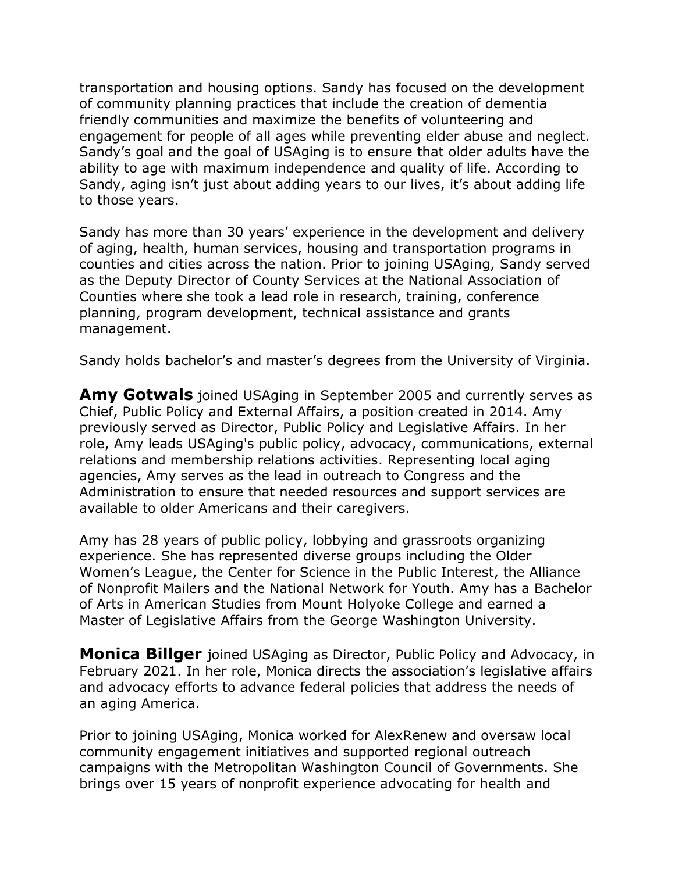transportation and housing options. Sandy has focused on the development of community planning practices that include the creation of dementia friendly communities and maximize the benefits of volunteering and engagement for people of all ages while preventing elder abuse and neglect. Sandy's goal and the goal of USAging is to ensure that older adults have the ability to age with maximum independence and quality of life. According to Sandy, aging isn't just about adding years to our lives, it's about adding life to those years.

Sandy has more than 30 years' experience in the development and delivery of aging, health, human services, housing and transportation programs in counties and cities across the nation. Prior to joining USAging, Sandy served as the Deputy Director of County Services at the National Association of Counties where she took a lead role in research, training, conference planning, program development, technical assistance and grants management.

Sandy holds bachelor's and master's degrees from the University of Virginia.

**Amy Gotwals** joined USAging in September 2005 and currently serves as Chief, Public Policy and External Affairs, a position created in 2014. Amy previously served as Director, Public Policy and Legislative Affairs. In her role, Amy leads USAging's public policy, advocacy, communications, external relations and membership relations activities. Representing local aging agencies, Amy serves as the lead in outreach to Congress and the Administration to ensure that needed resources and support services are available to older Americans and their caregivers.

Amy has 28 years of public policy, lobbying and grassroots organizing experience. She has represented diverse groups including the Older Women's League, the Center for Science in the Public Interest, the Alliance of Nonprofit Mailers and the National Network for Youth. Amy has a Bachelor of Arts in American Studies from Mount Holyoke College and earned a Master of Legislative Affairs from the George Washington University.

**Monica Billger** joined USAging as Director, Public Policy and Advocacy, in February 2021. In her role, Monica directs the association's legislative affairs and advocacy efforts to advance federal policies that address the needs of an aging America.

Prior to joining USAging, Monica worked for AlexRenew and oversaw local community engagement initiatives and supported regional outreach campaigns with the Metropolitan Washington Council of Governments. She brings over 15 years of nonprofit experience advocating for health and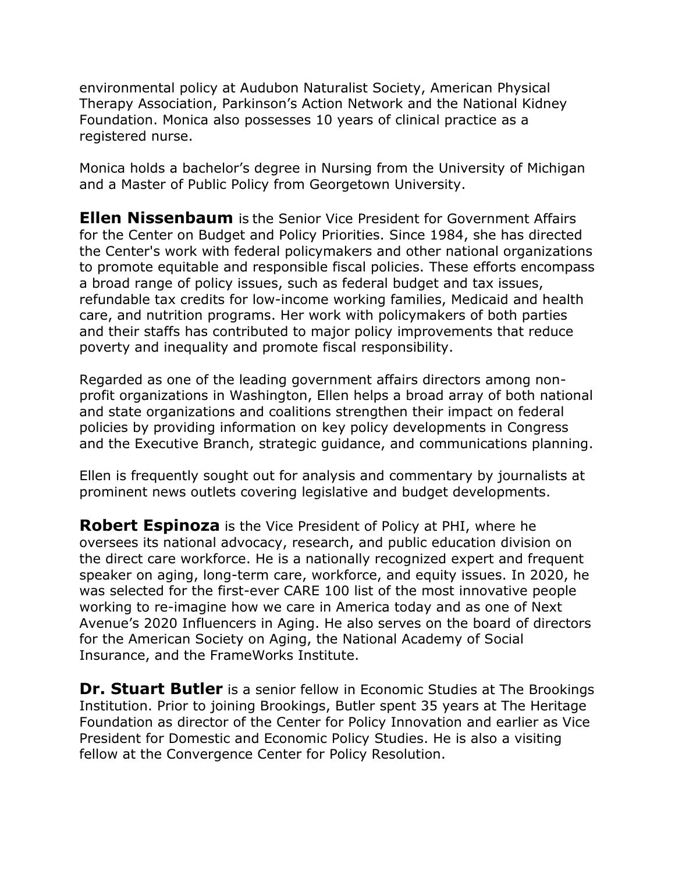environmental policy at Audubon Naturalist Society, American Physical Therapy Association, Parkinson's Action Network and the National Kidney Foundation. Monica also possesses 10 years of clinical practice as a registered nurse.

Monica holds a bachelor's degree in Nursing from the University of Michigan and a Master of Public Policy from Georgetown University.

**Ellen Nissenbaum** is the Senior Vice President for Government Affairs for the Center on Budget and Policy Priorities. Since 1984, she has directed the Center's work with federal policymakers and other national organizations to promote equitable and responsible fiscal policies. These efforts encompass a broad range of policy issues, such as federal budget and tax issues, refundable tax credits for low-income working families, Medicaid and health care, and nutrition programs. Her work with policymakers of both parties and their staffs has contributed to major policy improvements that reduce poverty and inequality and promote fiscal responsibility.

Regarded as one of the leading government affairs directors among nonprofit organizations in Washington, Ellen helps a broad array of both national and state organizations and coalitions strengthen their impact on federal policies by providing information on key policy developments in Congress and the Executive Branch, strategic guidance, and communications planning.

Ellen is frequently sought out for analysis and commentary by journalists at prominent news outlets covering legislative and budget developments.

**Robert Espinoza** is the Vice President of Policy at PHI, where he oversees its national advocacy, research, and public education division on the direct care workforce. He is a nationally recognized expert and frequent speaker on aging, long-term care, workforce, and equity issues. In 2020, he was selected for the first-ever CARE 100 list of the most innovative people working to re-imagine how we care in America today and as one of Next Avenue's 2020 Influencers in Aging. He also serves on the board of directors for the American Society on Aging, the National Academy of Social Insurance, and the FrameWorks Institute.

**Dr. Stuart Butler** is a senior fellow in Economic Studies at The Brookings Institution. Prior to joining Brookings, Butler spent 35 years at The Heritage Foundation as director of the Center for Policy Innovation and earlier as Vice President for Domestic and Economic Policy Studies. He is also a visiting fellow at the Convergence Center for Policy Resolution.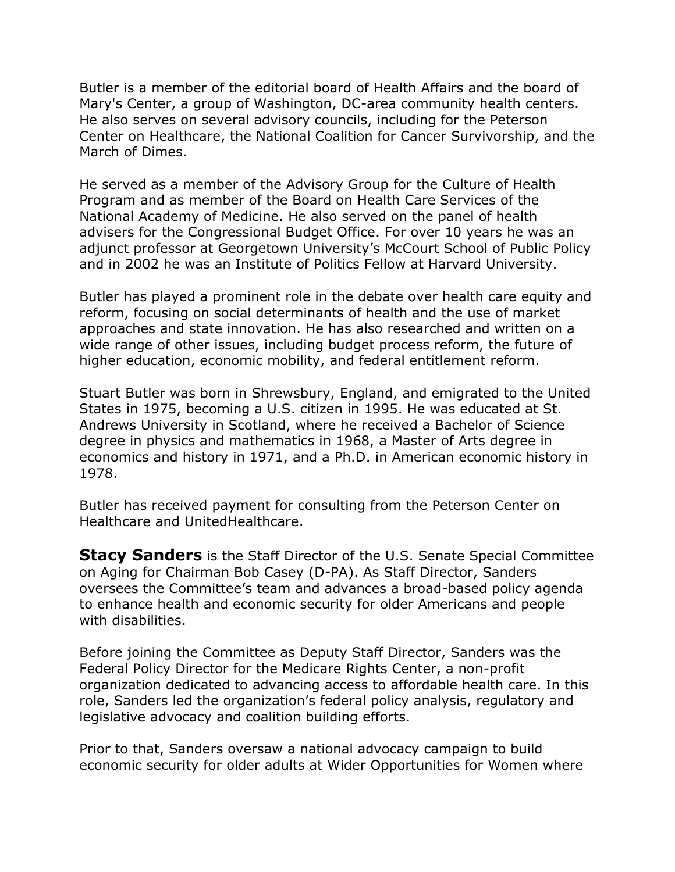Butler is a member of the editorial board of Health Affairs and the board of Mary's Center, a group of Washington, DC-area community health centers. He also serves on several advisory councils, including for the Peterson Center on Healthcare, the National Coalition for Cancer Survivorship, and the March of Dimes.

He served as a member of the Advisory Group for the Culture of Health Program and as member of the Board on Health Care Services of the National Academy of Medicine. He also served on the panel of health advisers for the Congressional Budget Office. For over 10 years he was an adjunct professor at Georgetown University's McCourt School of Public Policy and in 2002 he was an Institute of Politics Fellow at Harvard University.

Butler has played a prominent role in the debate over health care equity and reform, focusing on social determinants of health and the use of market approaches and state innovation. He has also researched and written on a wide range of other issues, including budget process reform, the future of higher education, economic mobility, and federal entitlement reform.

Stuart Butler was born in Shrewsbury, England, and emigrated to the United States in 1975, becoming a U.S. citizen in 1995. He was educated at St. Andrews University in Scotland, where he received a Bachelor of Science degree in physics and mathematics in 1968, a Master of Arts degree in economics and history in 1971, and a Ph.D. in American economic history in 1978.

Butler has received payment for consulting from the Peterson Center on Healthcare and UnitedHealthcare.

**Stacy Sanders** is the Staff Director of the U.S. Senate Special Committee on Aging for Chairman Bob Casey (D-PA). As Staff Director, Sanders oversees the Committee's team and advances a broad-based policy agenda to enhance health and economic security for older Americans and people with disabilities.

Before joining the Committee as Deputy Staff Director, Sanders was the Federal Policy Director for the Medicare Rights Center, a non-profit organization dedicated to advancing access to affordable health care. In this role, Sanders led the organization's federal policy analysis, regulatory and legislative advocacy and coalition building efforts.

Prior to that, Sanders oversaw a national advocacy campaign to build economic security for older adults at Wider Opportunities for Women where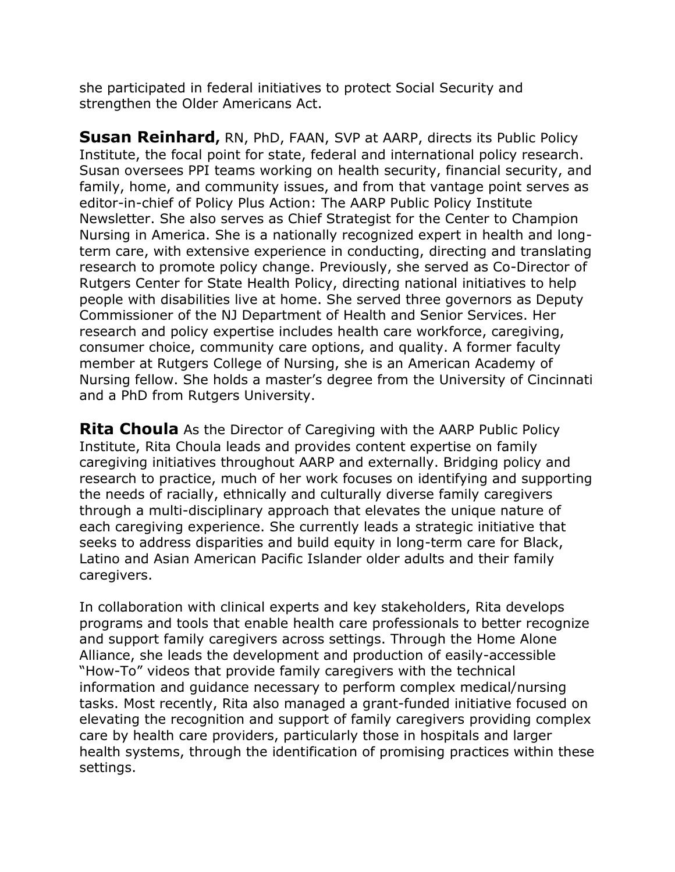she participated in federal initiatives to protect Social Security and strengthen the Older Americans Act.

**Susan Reinhard,** RN, PhD, FAAN, SVP at AARP, directs its Public Policy Institute, the focal point for state, federal and international policy research. Susan oversees PPI teams working on health security, financial security, and family, home, and community issues, and from that vantage point serves as editor-in-chief of Policy Plus Action: The AARP Public Policy Institute Newsletter. She also serves as Chief Strategist for the Center to Champion Nursing in America. She is a nationally recognized expert in health and longterm care, with extensive experience in conducting, directing and translating research to promote policy change. Previously, she served as Co-Director of Rutgers Center for State Health Policy, directing national initiatives to help people with disabilities live at home. She served three governors as Deputy Commissioner of the NJ Department of Health and Senior Services. Her research and policy expertise includes health care workforce, caregiving, consumer choice, community care options, and quality. A former faculty member at Rutgers College of Nursing, she is an American Academy of Nursing fellow. She holds a master's degree from the University of Cincinnati and a PhD from Rutgers University.

**Rita Choula** As the Director of Caregiving with the AARP Public Policy Institute, Rita Choula leads and provides content expertise on family caregiving initiatives throughout AARP and externally. Bridging policy and research to practice, much of her work focuses on identifying and supporting the needs of racially, ethnically and culturally diverse family caregivers through a multi-disciplinary approach that elevates the unique nature of each caregiving experience. She currently leads a strategic initiative that seeks to address disparities and build equity in long-term care for Black, Latino and Asian American Pacific Islander older adults and their family caregivers.

In collaboration with clinical experts and key stakeholders, Rita develops programs and tools that enable health care professionals to better recognize and support family caregivers across settings. Through the Home Alone Alliance, she leads the development and production of easily-accessible "How-To" videos that provide family caregivers with the technical information and guidance necessary to perform complex medical/nursing tasks. Most recently, Rita also managed a grant-funded initiative focused on elevating the recognition and support of family caregivers providing complex care by health care providers, particularly those in hospitals and larger health systems, through the identification of promising practices within these settings.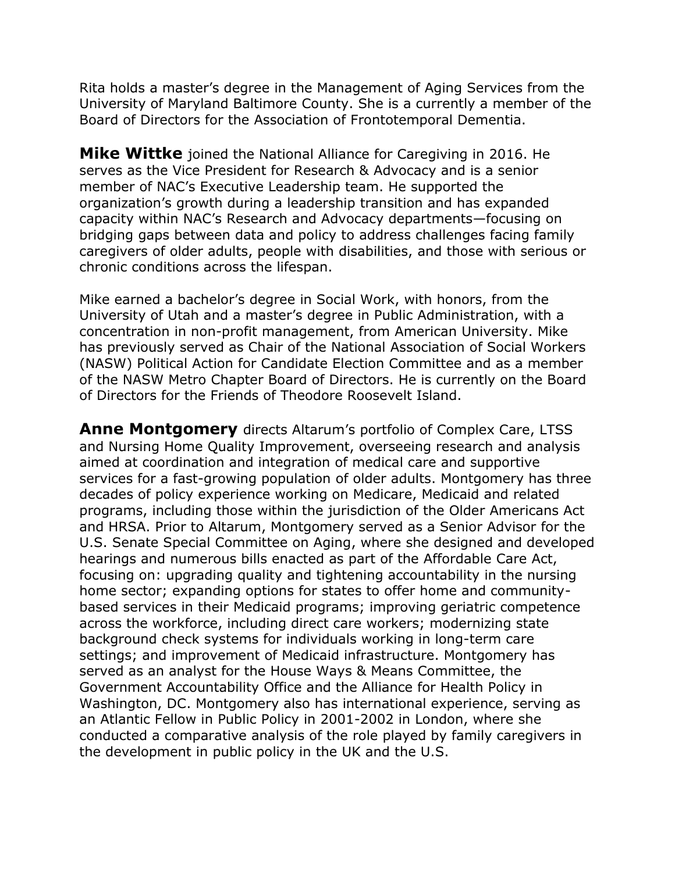Rita holds a master's degree in the Management of Aging Services from the University of Maryland Baltimore County. She is a currently a member of the Board of Directors for the Association of Frontotemporal Dementia.

**Mike Wittke** joined the National Alliance for Caregiving in 2016. He serves as the Vice President for Research & Advocacy and is a senior member of NAC's Executive Leadership team. He supported the organization's growth during a leadership transition and has expanded capacity within NAC's Research and Advocacy departments—focusing on bridging gaps between data and policy to address challenges facing family caregivers of older adults, people with disabilities, and those with serious or chronic conditions across the lifespan.

Mike earned a bachelor's degree in Social Work, with honors, from the University of Utah and a master's degree in Public Administration, with a concentration in non-profit management, from American University. Mike has previously served as Chair of the National Association of Social Workers (NASW) Political Action for Candidate Election Committee and as a member of the NASW Metro Chapter Board of Directors. He is currently on the Board of Directors for the Friends of Theodore Roosevelt Island.

**Anne Montgomery** directs Altarum's portfolio of Complex Care, LTSS and Nursing Home Quality Improvement, overseeing research and analysis aimed at coordination and integration of medical care and supportive services for a fast-growing population of older adults. Montgomery has three decades of policy experience working on Medicare, Medicaid and related programs, including those within the jurisdiction of the Older Americans Act and HRSA. Prior to Altarum, Montgomery served as a Senior Advisor for the U.S. Senate Special Committee on Aging, where she designed and developed hearings and numerous bills enacted as part of the Affordable Care Act, focusing on: upgrading quality and tightening accountability in the nursing home sector; expanding options for states to offer home and communitybased services in their Medicaid programs; improving geriatric competence across the workforce, including direct care workers; modernizing state background check systems for individuals working in long-term care settings; and improvement of Medicaid infrastructure. Montgomery has served as an analyst for the House Ways & Means Committee, the Government Accountability Office and the Alliance for Health Policy in Washington, DC. Montgomery also has international experience, serving as an Atlantic Fellow in Public Policy in 2001-2002 in London, where she conducted a comparative analysis of the role played by family caregivers in the development in public policy in the UK and the U.S.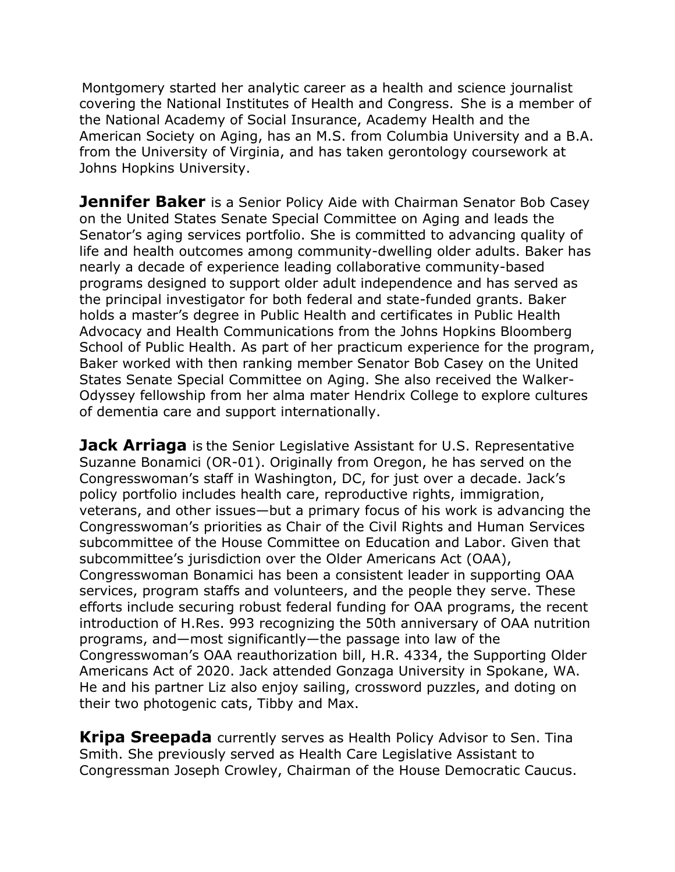Montgomery started her analytic career as a health and science journalist covering the National Institutes of Health and Congress.  She is a member of the National Academy of Social Insurance, Academy Health and the American Society on Aging, has an M.S. from Columbia University and a B.A. from the University of Virginia, and has taken gerontology coursework at Johns Hopkins University.

**Jennifer Baker** is a Senior Policy Aide with Chairman Senator Bob Casey on the United States Senate Special Committee on Aging and leads the Senator's aging services portfolio. She is committed to advancing quality of life and health outcomes among community-dwelling older adults. Baker has nearly a decade of experience leading collaborative community-based programs designed to support older adult independence and has served as the principal investigator for both federal and state-funded grants. Baker holds a master's degree in Public Health and certificates in Public Health Advocacy and Health Communications from the Johns Hopkins Bloomberg School of Public Health. As part of her practicum experience for the program, Baker worked with then ranking member Senator Bob Casey on the United States Senate Special Committee on Aging. She also received the Walker-Odyssey fellowship from her alma mater Hendrix College to explore cultures of dementia care and support internationally.

**Jack Arriaga** is the Senior Legislative Assistant for U.S. Representative Suzanne Bonamici (OR-01). Originally from Oregon, he has served on the Congresswoman's staff in Washington, DC, for just over a decade. Jack's policy portfolio includes health care, reproductive rights, immigration, veterans, and other issues—but a primary focus of his work is advancing the Congresswoman's priorities as Chair of the Civil Rights and Human Services subcommittee of the House Committee on Education and Labor. Given that subcommittee's jurisdiction over the Older Americans Act (OAA), Congresswoman Bonamici has been a consistent leader in supporting OAA services, program staffs and volunteers, and the people they serve. These efforts include securing robust federal funding for OAA programs, the recent introduction of H.Res. 993 recognizing the 50th anniversary of OAA nutrition programs, and—most significantly—the passage into law of the Congresswoman's OAA reauthorization bill, H.R. 4334, the Supporting Older Americans Act of 2020. Jack attended Gonzaga University in Spokane, WA. He and his partner Liz also enjoy sailing, crossword puzzles, and doting on their two photogenic cats, Tibby and Max.

**Kripa Sreepada** currently serves as Health Policy Advisor to Sen. Tina Smith. She previously served as Health Care Legislative Assistant to Congressman Joseph Crowley, Chairman of the House Democratic Caucus.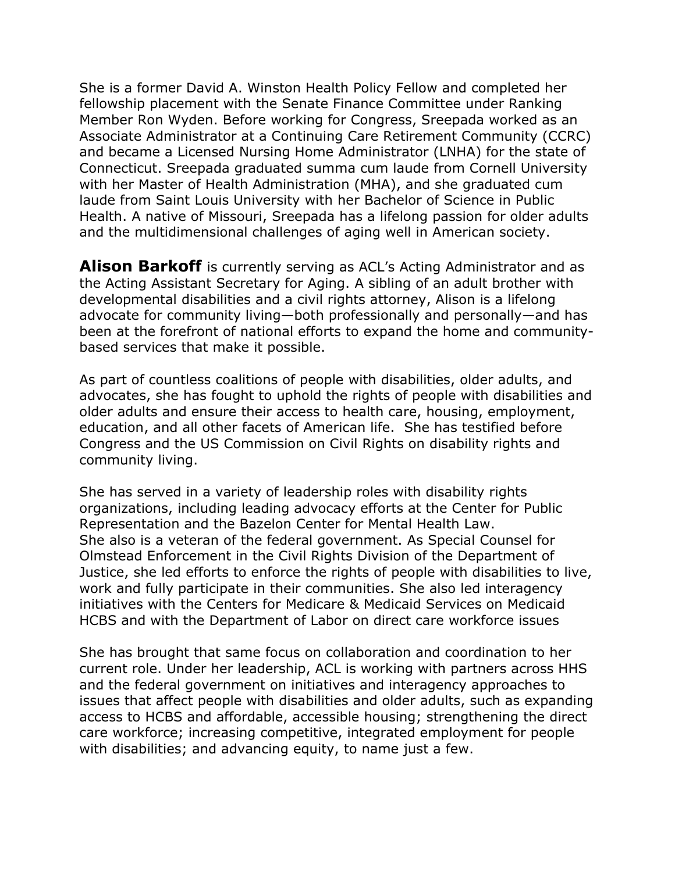She is a former David A. Winston Health Policy Fellow and completed her fellowship placement with the Senate Finance Committee under Ranking Member Ron Wyden. Before working for Congress, Sreepada worked as an Associate Administrator at a Continuing Care Retirement Community (CCRC) and became a Licensed Nursing Home Administrator (LNHA) for the state of Connecticut. Sreepada graduated summa cum laude from Cornell University with her Master of Health Administration (MHA), and she graduated cum laude from Saint Louis University with her Bachelor of Science in Public Health. A native of Missouri, Sreepada has a lifelong passion for older adults and the multidimensional challenges of aging well in American society.

**Alison Barkoff** is currently serving as ACL's Acting Administrator and as the Acting Assistant Secretary for Aging. A sibling of an adult brother with developmental disabilities and a civil rights attorney, Alison is a lifelong advocate for community living—both professionally and personally—and has been at the forefront of national efforts to expand the home and communitybased services that make it possible.

As part of countless coalitions of people with disabilities, older adults, and advocates, she has fought to uphold the rights of people with disabilities and older adults and ensure their access to health care, housing, employment, education, and all other facets of American life. She has testified before Congress and the US Commission on Civil Rights on disability rights and community living.

She has served in a variety of leadership roles with disability rights organizations, including leading advocacy efforts at the Center for Public Representation and the Bazelon Center for Mental Health Law. She also is a veteran of the federal government. As Special Counsel for Olmstead Enforcement in the Civil Rights Division of the Department of Justice, she led efforts to enforce the rights of people with disabilities to live, work and fully participate in their communities. She also led interagency initiatives with the Centers for Medicare & Medicaid Services on Medicaid HCBS and with the Department of Labor on direct care workforce issues

She has brought that same focus on collaboration and coordination to her current role. Under her leadership, ACL is working with partners across HHS and the federal government on initiatives and interagency approaches to issues that affect people with disabilities and older adults, such as expanding access to HCBS and affordable, accessible housing; strengthening the direct care workforce; increasing competitive, integrated employment for people with disabilities; and advancing equity, to name just a few.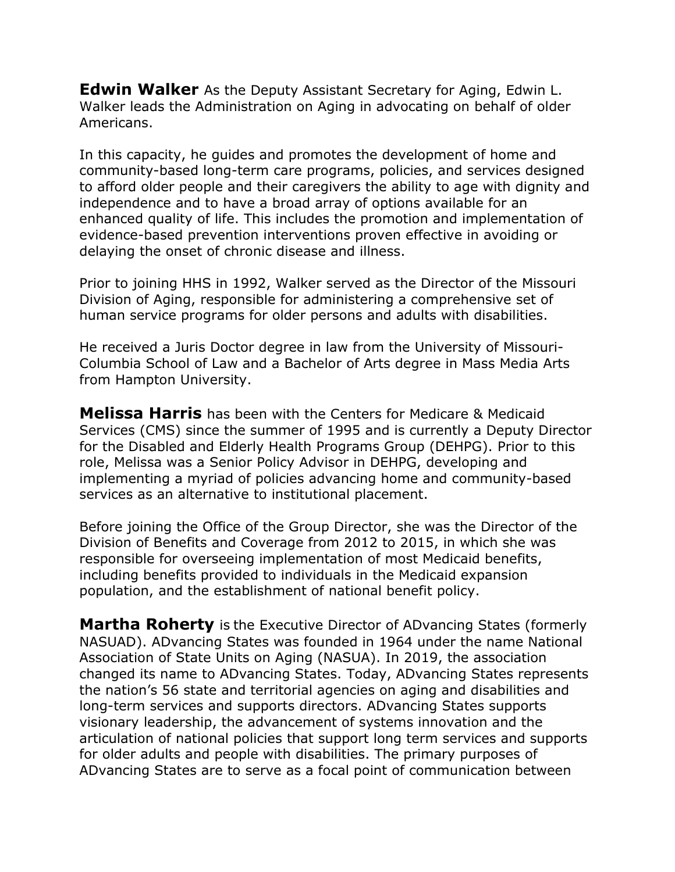**Edwin Walker** As the Deputy Assistant Secretary for Aging, Edwin L. Walker leads the Administration on Aging in advocating on behalf of older Americans.

In this capacity, he guides and promotes the development of home and community-based long-term care programs, policies, and services designed to afford older people and their caregivers the ability to age with dignity and independence and to have a broad array of options available for an enhanced quality of life. This includes the promotion and implementation of evidence-based prevention interventions proven effective in avoiding or delaying the onset of chronic disease and illness.

Prior to joining HHS in 1992, Walker served as the Director of the Missouri Division of Aging, responsible for administering a comprehensive set of human service programs for older persons and adults with disabilities.

He received a Juris Doctor degree in law from the University of Missouri-Columbia School of Law and a Bachelor of Arts degree in Mass Media Arts from Hampton University.

**Melissa Harris** has been with the Centers for Medicare & Medicaid Services (CMS) since the summer of 1995 and is currently a Deputy Director for the Disabled and Elderly Health Programs Group (DEHPG). Prior to this role, Melissa was a Senior Policy Advisor in DEHPG, developing and implementing a myriad of policies advancing home and community-based services as an alternative to institutional placement.

Before joining the Office of the Group Director, she was the Director of the Division of Benefits and Coverage from 2012 to 2015, in which she was responsible for overseeing implementation of most Medicaid benefits, including benefits provided to individuals in the Medicaid expansion population, and the establishment of national benefit policy.

**Martha Roherty** is the Executive Director of ADvancing States (formerly NASUAD). ADvancing States was founded in 1964 under the name National Association of State Units on Aging (NASUA). In 2019, the association changed its name to ADvancing States. Today, ADvancing States represents the nation's 56 state and territorial agencies on aging and disabilities and long-term services and supports directors. ADvancing States supports visionary leadership, the advancement of systems innovation and the articulation of national policies that support long term services and supports for older adults and people with disabilities. The primary purposes of ADvancing States are to serve as a focal point of communication between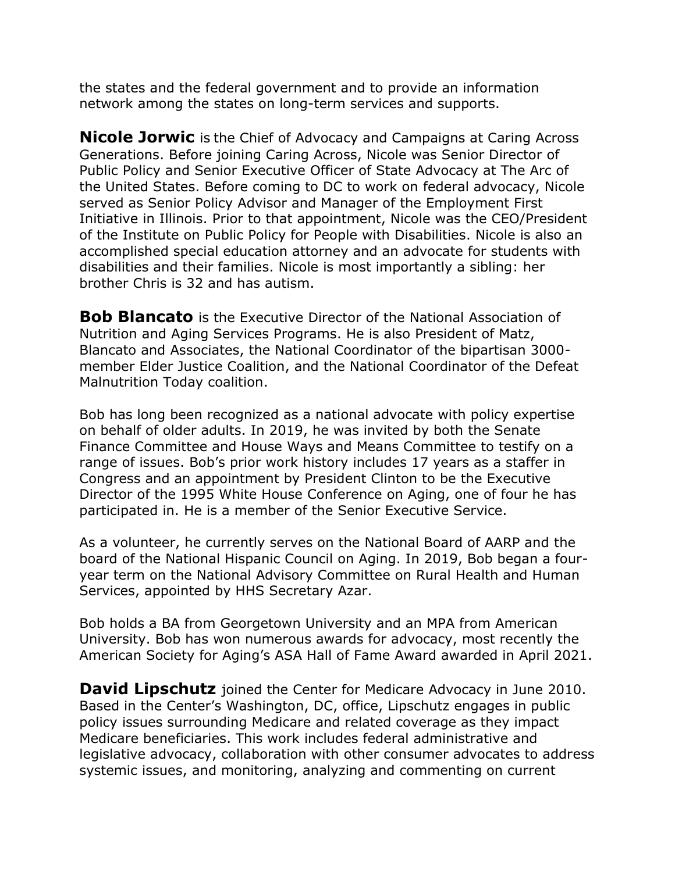the states and the federal government and to provide an information network among the states on long-term services and supports.

**Nicole Jorwic** is the Chief of Advocacy and Campaigns at Caring Across Generations. Before joining Caring Across, Nicole was Senior Director of Public Policy and Senior Executive Officer of State Advocacy at The Arc of the United States. Before coming to DC to work on federal advocacy, Nicole served as Senior Policy Advisor and Manager of the Employment First Initiative in Illinois. Prior to that appointment, Nicole was the CEO/President of the Institute on Public Policy for People with Disabilities. Nicole is also an accomplished special education attorney and an advocate for students with disabilities and their families. Nicole is most importantly a sibling: her brother Chris is 32 and has autism.

**Bob Blancato** is the Executive Director of the National Association of Nutrition and Aging Services Programs. He is also President of Matz, Blancato and Associates, the National Coordinator of the bipartisan 3000 member Elder Justice Coalition, and the National Coordinator of the Defeat Malnutrition Today coalition.

Bob has long been recognized as a national advocate with policy expertise on behalf of older adults. In 2019, he was invited by both the Senate Finance Committee and House Ways and Means Committee to testify on a range of issues. Bob's prior work history includes 17 years as a staffer in Congress and an appointment by President Clinton to be the Executive Director of the 1995 White House Conference on Aging, one of four he has participated in. He is a member of the Senior Executive Service.

As a volunteer, he currently serves on the National Board of AARP and the board of the National Hispanic Council on Aging. In 2019, Bob began a fouryear term on the National Advisory Committee on Rural Health and Human Services, appointed by HHS Secretary Azar.

Bob holds a BA from Georgetown University and an MPA from American University. Bob has won numerous awards for advocacy, most recently the American Society for Aging's ASA Hall of Fame Award awarded in April 2021.

**David Lipschutz** joined the Center for Medicare Advocacy in June 2010. Based in the Center's Washington, DC, office, Lipschutz engages in public policy issues surrounding Medicare and related coverage as they impact Medicare beneficiaries. This work includes federal administrative and legislative advocacy, collaboration with other consumer advocates to address systemic issues, and monitoring, analyzing and commenting on current